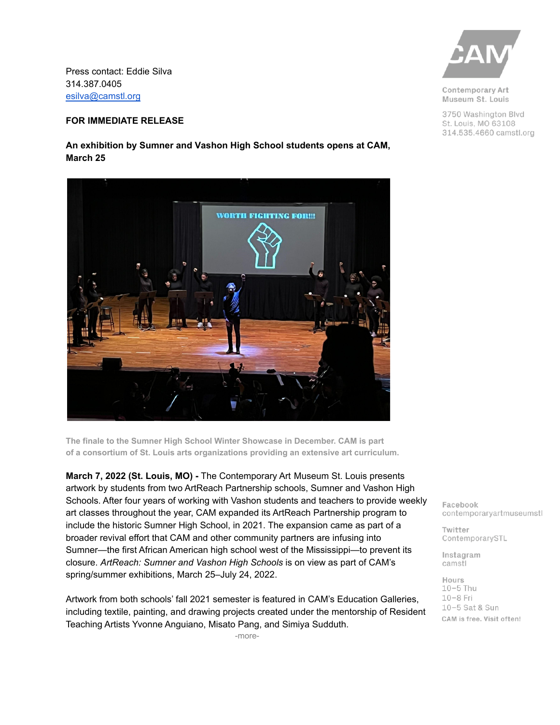Press contact: Eddie Silva 314.387.0405 [esilva@camstl.org](mailto:esilva@camstl.org)

## **FOR IMMEDIATE RELEASE**

**An exhibition by Sumner and Vashon High School students opens at CAM, March 25**



**The finale to the Sumner High School Winter Showcase in December. CAM is part of a consortium of St. Louis arts organizations providing an extensive art curriculum.**

**March 7, 2022 (St. Louis, MO) -** The Contemporary Art Museum St. Louis presents artwork by students from two ArtReach Partnership schools, Sumner and Vashon High Schools. After four years of working with Vashon students and teachers to provide weekly art classes throughout the year, CAM expanded its ArtReach Partnership program to include the historic Sumner High School, in 2021. The expansion came as part of a broader revival effort that CAM and other community partners are infusing into Sumner—the first African American high school west of the Mississippi—to prevent its closure. *ArtReach: Sumner and Vashon High Schools* is on view as part of CAM's spring/summer exhibitions, March 25–July 24, 2022.

Artwork from both schools' fall 2021 semester is featured in CAM's Education Galleries, including textile, painting, and drawing projects created under the mentorship of Resident Teaching Artists Yvonne Anguiano, Misato Pang, and Simiya Sudduth.

-more-



Contemporary Art Museum St. Louis

3750 Washington Blvd St. Louis, MO 63108 314.535.4660 camstl.org

Facebook contemporaryartmuseumstl

Twitter ContemporarySTL

Instagram camstl

Hours  $10-5$  Thu  $10-8$  Fri 10-5 Sat & Sun CAM is free. Visit often!